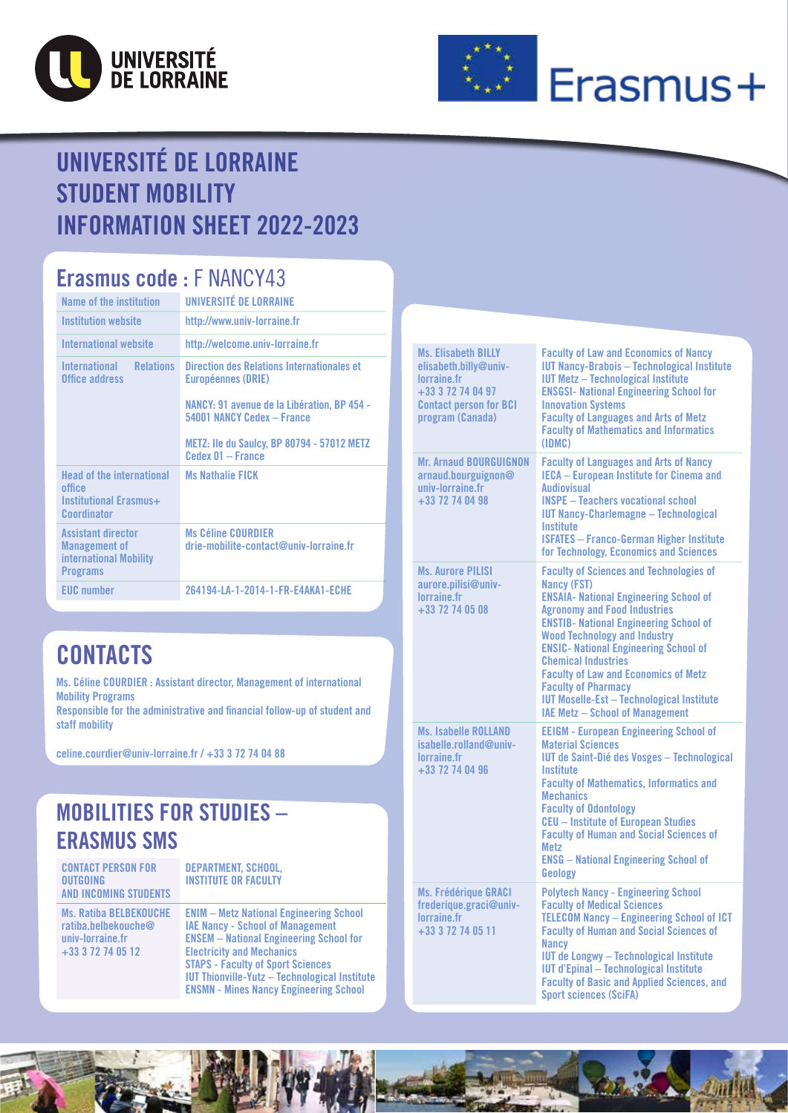



# Erasmus+

### UNIVERSITÉ DE LORRAINE STUDENT MOBILITY INFORMATION SHEET 2022-2023

#### Erasmus code : F NANCY43

| Name of the institution                                                                        | UNIVERSITÉ DE LORRAINE                                                    |
|------------------------------------------------------------------------------------------------|---------------------------------------------------------------------------|
| <b>Institution website</b>                                                                     | http://www.univ-lorraine.fr                                               |
| <b>International website</b>                                                                   | http://welcome.univ-lorraine.fr                                           |
| <b>Relations</b><br>International<br>Office address                                            | Direction des Relations Internationales et<br><b>Européennes (DRIE)</b>   |
|                                                                                                | NANCY: 91 avenue de la Libération, BP 454 -<br>54001 NANCY Cedex - France |
|                                                                                                | <b>METZ: Ile du Saulcy, BP 80794 - 57012 METZ</b><br>Cedex 01 - France    |
| <b>Head of the international</b><br>office<br>Institutional Erasmus+<br>Coordinator            | <b>Ms Nathalie FICK</b>                                                   |
| <b>Assistant director</b><br><b>Management of</b><br>international Mobility<br><b>Programs</b> | <b>Ms Céline COURDIER</b><br>drie-mobilite-contact@univ-lorraine.fr       |
| <b>EUC</b> number                                                                              | 264194-LA-1-2014-1-FR-E4AKA1-ECHE                                         |

### **CONTACTS**

Ms. Céline COURDIER : Assistant director, Management of international Mobility Programs

Responsible for the administrative and financial follow-up of student and staff mobility

[celine.courdier@univ-lorraine.fr](mailto:celine.courdier%40univ-lorraine.fr?subject=) / +33 3 72 74 04 88

#### MOBILITIES FOR STUDIES – ERASMUS SMS

CONTACT PERSON FOR OUTGOING AND INCOMING STUDENTS

Ms. Ratiba BELBEKOUCHE [ratiba.belbekouche@](mailto:ratiba.belbekouche@univ-lorraine.fr) [univ-lorraine.fr](mailto:ratiba.belbekouche@univ-lorraine.fr) +33 3 72 74 05 12

DEPARTMENT, SCHOOL, INSTITUTE OR FACULTY

[ENIM – Metz National Engineering School](https://enim.univ-lorraine.fr/) [IAE Nancy - School of Management](http://iae-nancy.univ-lorraine.fr/) [ENSEM – National Engineering School for](https://ensem.univ-lorraine.fr/en/home/)  [Electricity and Mechanics](https://ensem.univ-lorraine.fr/en/home/) [STAPS - Faculty of Sport Sciences](https://staps-nancy.univ-lorraine.fr/fr/node/107) [IUT Thionville-Yutz – Technological Institute](http://iut-thionville-yutz.univ-lorraine.fr/) [ENSMN - Mines Nancy Engineering School](https://mines-nancy.univ-lorraine.fr/)

| <b>Ms. Elisabeth BILLY</b><br>elisabeth.billy@univ-<br>lorraine.fr<br>+33 3 72 74 04 97<br><b>Contact person for BCI</b><br>program (Canada) | <b>Faculty of Law and Economics of Nancy</b><br><b>IUT Nancy-Brabois - Technological Institute</b><br><b>IUT Metz - Technological Institute</b><br><b>ENSGSI- National Engineering School for</b><br><b>Innovation Systems</b><br><b>Faculty of Languages and Arts of Metz</b><br><b>Faculty of Mathematics and Informatics</b><br>(IDMC)                                                                                                                                                                     |
|----------------------------------------------------------------------------------------------------------------------------------------------|---------------------------------------------------------------------------------------------------------------------------------------------------------------------------------------------------------------------------------------------------------------------------------------------------------------------------------------------------------------------------------------------------------------------------------------------------------------------------------------------------------------|
| <b>Mr. Arnaud BOURGUIGNON</b><br>arnaud.bourguignon@<br>univ-lorraine.fr<br>+33 72 74 04 98                                                  | <b>Faculty of Languages and Arts of Nancy</b><br><b>IECA - European Institute for Cinema and</b><br><b>Audiovisual</b><br><b>INSPE - Teachers vocational school</b><br><b>IUT Nancy-Charlemagne - Technological</b><br><b>Institute</b><br><b>ISFATES - Franco-German Higher Institute</b><br>for Technology, Economics and Sciences                                                                                                                                                                          |
| <b>Ms. Aurore PILISI</b><br>aurore.pilisi@univ-<br>lorraine.fr<br>+33 72 74 05 08                                                            | <b>Faculty of Sciences and Technologies of</b><br><b>Nancy (FST)</b><br><b>ENSAIA- National Engineering School of</b><br><b>Agronomy and Food Industries</b><br><b>ENSTIB- National Engineering School of</b><br><b>Wood Technology and Industry</b><br><b>ENSIC- National Engineering School of</b><br><b>Chemical Industries</b><br><b>Faculty of Law and Economics of Metz</b><br><b>Faculty of Pharmacy</b><br><b>IUT Moselle-Est - Technological Institute</b><br><b>IAE Metz - School of Management</b> |
| <b>Ms. Isabelle ROLLAND</b><br>isabelle.rolland@univ-<br>lorraine.fr<br>+33 72 74 04 96                                                      | <b>EEIGM - European Engineering School of</b><br><b>Material Sciences</b><br>IUT de Saint-Dié des Vosges - Technological<br>Institute<br><b>Faculty of Mathematics, Informatics and</b><br><b>Mechanics</b><br><b>Faculty of Odontology</b><br><b>CEU</b> - Institute of European Studies<br><b>Faculty of Human and Social Sciences of</b><br><b>Metz</b><br><b>ENSG</b> – National Engineering School of<br>Geology                                                                                         |
| <b>Ms. Frédérique GRACI</b><br>frederique.graci@univ-<br>lorraine.fr<br>+33 3 72 74 05 11                                                    | <b>Polytech Nancy - Engineering School</b><br><b>Faculty of Medical Sciences</b><br><b>TELECOM Nancy - Engineering School of ICT</b><br><b>Faculty of Human and Social Sciences of</b><br><b>Nancy</b><br><b>IUT de Longwy - Technological Institute</b><br><b>IUT d'Epinal - Technological Institute</b><br><b>Faculty of Basic and Applied Sciences, and</b><br><b>Sport sciences (SciFA)</b>                                                                                                               |